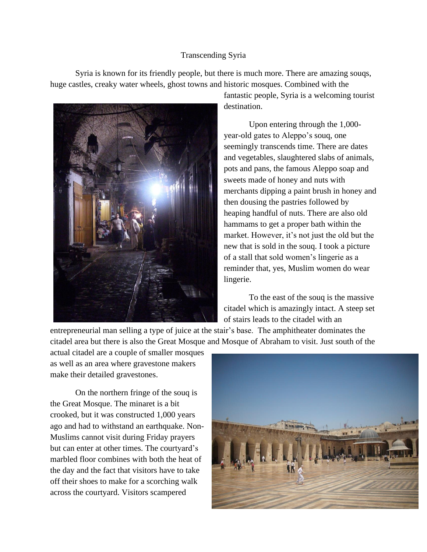## Transcending Syria

Syria is known for its friendly people, but there is much more. There are amazing souqs, huge castles, creaky water wheels, ghost towns and historic mosques. Combined with the



fantastic people, Syria is a welcoming tourist destination.

Upon entering through the 1,000 year-old gates to Aleppo's souq, one seemingly transcends time. There are dates and vegetables, slaughtered slabs of animals, pots and pans, the famous Aleppo soap and sweets made of honey and nuts with merchants dipping a paint brush in honey and then dousing the pastries followed by heaping handful of nuts. There are also old hammams to get a proper bath within the market. However, it's not just the old but the new that is sold in the souq. I took a picture of a stall that sold women's lingerie as a reminder that, yes, Muslim women do wear lingerie.

To the east of the souq is the massive citadel which is amazingly intact. A steep set of stairs leads to the citadel with an

entrepreneurial man selling a type of juice at the stair's base. The amphitheater dominates the citadel area but there is also the Great Mosque and Mosque of Abraham to visit. Just south of the

actual citadel are a couple of smaller mosques as well as an area where gravestone makers make their detailed gravestones.

On the northern fringe of the souq is the Great Mosque. The minaret is a bit crooked, but it was constructed 1,000 years ago and had to withstand an earthquake. Non-Muslims cannot visit during Friday prayers but can enter at other times. The courtyard's marbled floor combines with both the heat of the day and the fact that visitors have to take off their shoes to make for a scorching walk across the courtyard. Visitors scampered

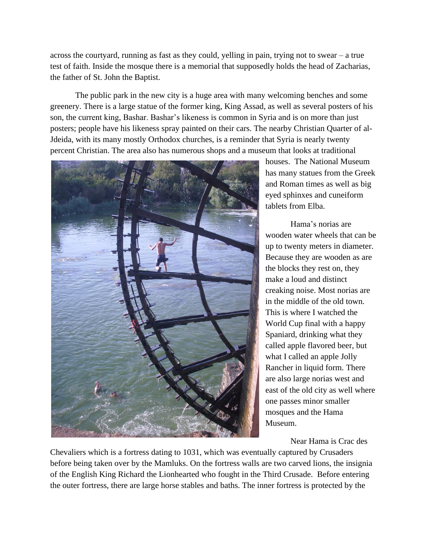across the courtyard, running as fast as they could, yelling in pain, trying not to swear – a true test of faith. Inside the mosque there is a memorial that supposedly holds the head of Zacharias, the father of St. John the Baptist.

The public park in the new city is a huge area with many welcoming benches and some greenery. There is a large statue of the former king, King Assad, as well as several posters of his son, the current king, Bashar. Bashar's likeness is common in Syria and is on more than just posters; people have his likeness spray painted on their cars. The nearby Christian Quarter of al-Jdeida, with its many mostly Orthodox churches, is a reminder that Syria is nearly twenty percent Christian. The area also has numerous shops and a museum that looks at traditional



houses. The National Museum has many statues from the Greek and Roman times as well as big eyed sphinxes and cuneiform tablets from Elba.

Hama's norias are wooden water wheels that can be up to twenty meters in diameter. Because they are wooden as are the blocks they rest on, they make a loud and distinct creaking noise. Most norias are in the middle of the old town. This is where I watched the World Cup final with a happy Spaniard, drinking what they called apple flavored beer, but what I called an apple Jolly Rancher in liquid form. There are also large norias west and east of the old city as well where one passes minor smaller mosques and the Hama Museum.

Near Hama is Crac des

Chevaliers which is a fortress dating to 1031, which was eventually captured by Crusaders before being taken over by the Mamluks. On the fortress walls are two carved lions, the insignia of the English King Richard the Lionhearted who fought in the Third Crusade. Before entering the outer fortress, there are large horse stables and baths. The inner fortress is protected by the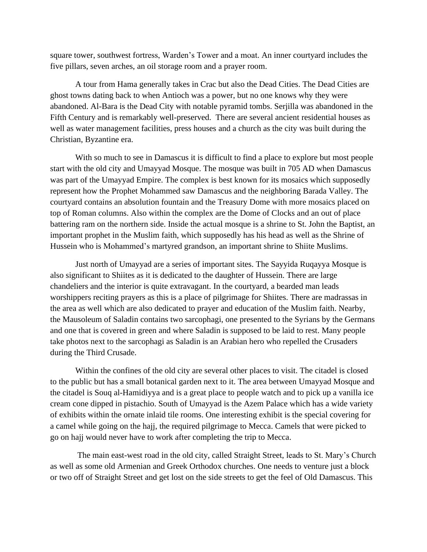square tower, southwest fortress, Warden's Tower and a moat. An inner courtyard includes the five pillars, seven arches, an oil storage room and a prayer room.

A tour from Hama generally takes in Crac but also the Dead Cities. The Dead Cities are ghost towns dating back to when Antioch was a power, but no one knows why they were abandoned. Al-Bara is the Dead City with notable pyramid tombs. Serjilla was abandoned in the Fifth Century and is remarkably well-preserved. There are several ancient residential houses as well as water management facilities, press houses and a church as the city was built during the Christian, Byzantine era.

With so much to see in Damascus it is difficult to find a place to explore but most people start with the old city and Umayyad Mosque. The mosque was built in 705 AD when Damascus was part of the Umayyad Empire. The complex is best known for its mosaics which supposedly represent how the Prophet Mohammed saw Damascus and the neighboring Barada Valley. The courtyard contains an absolution fountain and the Treasury Dome with more mosaics placed on top of Roman columns. Also within the complex are the Dome of Clocks and an out of place battering ram on the northern side. Inside the actual mosque is a shrine to St. John the Baptist, an important prophet in the Muslim faith, which supposedly has his head as well as the Shrine of Hussein who is Mohammed's martyred grandson, an important shrine to Shiite Muslims.

Just north of Umayyad are a series of important sites. The Sayyida Ruqayya Mosque is also significant to Shiites as it is dedicated to the daughter of Hussein. There are large chandeliers and the interior is quite extravagant. In the courtyard, a bearded man leads worshippers reciting prayers as this is a place of pilgrimage for Shiites. There are madrassas in the area as well which are also dedicated to prayer and education of the Muslim faith. Nearby, the Mausoleum of Saladin contains two sarcophagi, one presented to the Syrians by the Germans and one that is covered in green and where Saladin is supposed to be laid to rest. Many people take photos next to the sarcophagi as Saladin is an Arabian hero who repelled the Crusaders during the Third Crusade.

Within the confines of the old city are several other places to visit. The citadel is closed to the public but has a small botanical garden next to it. The area between Umayyad Mosque and the citadel is Souq al-Hamidiyya and is a great place to people watch and to pick up a vanilla ice cream cone dipped in pistachio. South of Umayyad is the Azem Palace which has a wide variety of exhibits within the ornate inlaid tile rooms. One interesting exhibit is the special covering for a camel while going on the hajj, the required pilgrimage to Mecca. Camels that were picked to go on hajj would never have to work after completing the trip to Mecca.

The main east-west road in the old city, called Straight Street, leads to St. Mary's Church as well as some old Armenian and Greek Orthodox churches. One needs to venture just a block or two off of Straight Street and get lost on the side streets to get the feel of Old Damascus. This